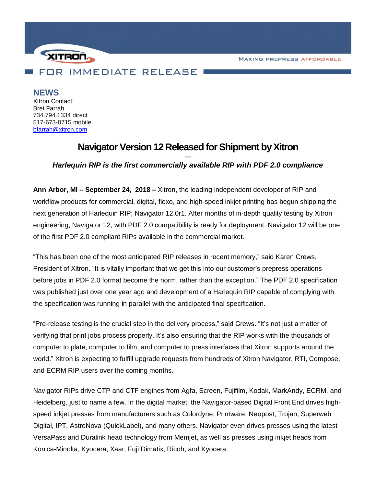**MAKING PREPRESS AFFORDABLE** 



**NEWS**

Xitron Contact: Bret Farrah 734.794.1334 direct 517-673-0715 mobile [bfarrah@xitron.com](mailto:bfarrah@xitron.com)

## **Navigator Version 12 Released for Shipment by Xitron**

*--- Harlequin RIP is the first commercially available RIP with PDF 2.0 compliance*

**Ann Arbor, MI – September 24, 2018 –** Xitron, the leading independent developer of RIP and workflow products for commercial, digital, flexo, and high-speed inkjet printing has begun shipping the next generation of Harlequin RIP; Navigator 12.0r1. After months of in-depth quality testing by Xitron engineering, Navigator 12, with PDF 2.0 compatibility is ready for deployment. Navigator 12 will be one of the first PDF 2.0 compliant RIPs available in the commercial market.

"This has been one of the most anticipated RIP releases in recent memory," said Karen Crews, President of Xitron. "It is vitally important that we get this into our customer's prepress operations before jobs in PDF 2.0 format become the norm, rather than the exception." The PDF 2.0 specification was published just over one year ago and development of a Harlequin RIP capable of complying with the specification was running in parallel with the anticipated final specification.

"Pre-release testing is the crucial step in the delivery process," said Crews. "It's not just a matter of verifying that print jobs process properly. It's also ensuring that the RIP works with the thousands of computer to plate, computer to film, and computer to press interfaces that Xitron supports around the world." Xitron is expecting to fulfill upgrade requests from hundreds of Xitron Navigator, RTI, Compose, and ECRM RIP users over the coming months.

Navigator RIPs drive CTP and CTF engines from Agfa, Screen, Fujifilm, Kodak, MarkAndy, ECRM, and Heidelberg, just to name a few. In the digital market, the Navigator-based Digital Front End drives highspeed inkjet presses from manufacturers such as Colordyne, Printware, Neopost, Trojan, Superweb Digital, IPT, AstroNova (QuickLabel), and many others. Navigator even drives presses using the latest VersaPass and Duralink head technology from Memjet, as well as presses using inkjet heads from Konica-Minolta, Kyocera, Xaar, Fuji Dimatix, Ricoh, and Kyocera.